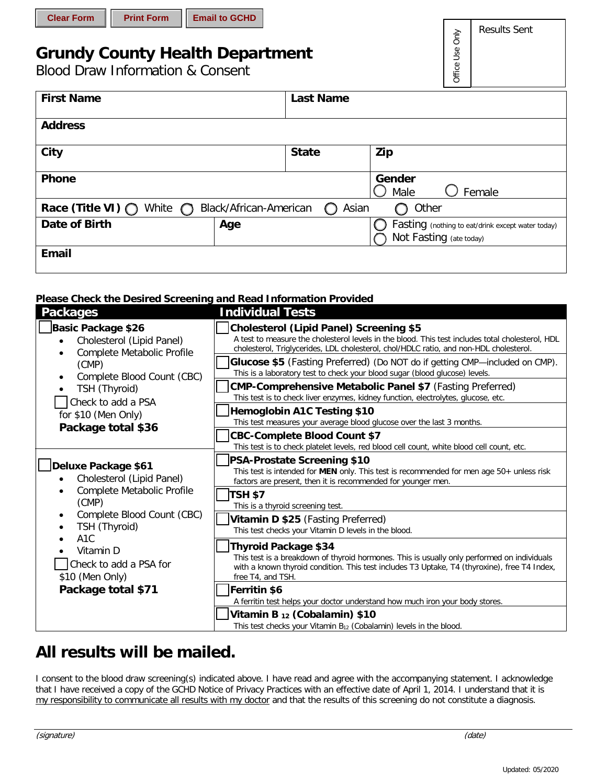| <b>Clear Form</b> |  |  |  |  |
|-------------------|--|--|--|--|
|-------------------|--|--|--|--|

# **Grundy County Health Department**

Blood Draw Information & Consent

| <b>First Name</b>                                                                          |     | <b>Last Name</b> |                                                                              |  |  |  |
|--------------------------------------------------------------------------------------------|-----|------------------|------------------------------------------------------------------------------|--|--|--|
| <b>Address</b>                                                                             |     |                  |                                                                              |  |  |  |
| City                                                                                       |     | <b>State</b>     | Zip                                                                          |  |  |  |
| <b>Phone</b>                                                                               |     |                  | Gender<br>Female<br>Male                                                     |  |  |  |
| Race (Title VI) $\bigcirc$<br>White $\bigcirc$<br>Black/African-American<br>Asian<br>Other |     |                  |                                                                              |  |  |  |
| Date of Birth                                                                              | Age |                  | Fasting (nothing to eat/drink except water today)<br>Not Fasting (ate today) |  |  |  |
| <b>Email</b>                                                                               |     |                  |                                                                              |  |  |  |

## **Please Check the Desired Screening and Read Information Provided**

| <b>Packages</b>                                                                                                                                           | <b>Individual Tests</b>                                                                                                                                                                                                                                                                                                                                                                                                                                                        |
|-----------------------------------------------------------------------------------------------------------------------------------------------------------|--------------------------------------------------------------------------------------------------------------------------------------------------------------------------------------------------------------------------------------------------------------------------------------------------------------------------------------------------------------------------------------------------------------------------------------------------------------------------------|
| <b>Basic Package \$26</b><br>Cholesterol (Lipid Panel)<br>Complete Metabolic Profile<br>(CMP)<br>Complete Blood Count (CBC)<br>$\bullet$<br>TSH (Thyroid) | <b>Cholesterol (Lipid Panel) Screening \$5</b><br>A test to measure the cholesterol levels in the blood. This test includes total cholesterol, HDL<br>cholesterol, Triglycerides, LDL cholesterol, chol/HDLC ratio, and non-HDL cholesterol.<br>Glucose \$5 (Fasting Preferred) (Do NOT do if getting CMP-included on CMP).<br>This is a laboratory test to check your blood sugar (blood glucose) levels.<br><b>CMP-Comprehensive Metabolic Panel \$7</b> (Fasting Preferred) |
| Check to add a PSA                                                                                                                                        | This test is to check liver enzymes, kidney function, electrolytes, glucose, etc.                                                                                                                                                                                                                                                                                                                                                                                              |
| for \$10 (Men Only)<br>Package total \$36                                                                                                                 | <b>Hemoglobin A1C Testing \$10</b><br>This test measures your average blood glucose over the last 3 months.                                                                                                                                                                                                                                                                                                                                                                    |
|                                                                                                                                                           | <b>CBC-Complete Blood Count \$7</b><br>This test is to check platelet levels, red blood cell count, white blood cell count, etc.                                                                                                                                                                                                                                                                                                                                               |
| ∫Deluxe Package \$61<br>Cholesterol (Lipid Panel)                                                                                                         | <b>PSA-Prostate Screening \$10</b><br>This test is intended for MEN only. This test is recommended for men age 50+ unless risk<br>factors are present, then it is recommended for younger men.                                                                                                                                                                                                                                                                                 |
| Complete Metabolic Profile<br>(CMP)                                                                                                                       | <b>TSH \$7</b><br>This is a thyroid screening test.                                                                                                                                                                                                                                                                                                                                                                                                                            |
| Complete Blood Count (CBC)<br>٠<br>TSH (Thyroid)                                                                                                          | Vitamin D \$25 (Fasting Preferred)<br>This test checks your Vitamin D levels in the blood.                                                                                                                                                                                                                                                                                                                                                                                     |
| A <sub>1</sub> C<br>Vitamin D<br>Check to add a PSA for<br>\$10 (Men Only)                                                                                | <b>Thyroid Package \$34</b><br>This test is a breakdown of thyroid hormones. This is usually only performed on individuals<br>with a known thyroid condition. This test includes T3 Uptake, T4 (thyroxine), free T4 Index,<br>free T4, and TSH.                                                                                                                                                                                                                                |
| Package total \$71                                                                                                                                        | Ferritin \$6<br>A ferritin test helps your doctor understand how much iron your body stores.                                                                                                                                                                                                                                                                                                                                                                                   |
|                                                                                                                                                           | Vitamin B 12 (Cobalamin) \$10<br>This test checks your Vitamin B <sub>12</sub> (Cobalamin) levels in the blood.                                                                                                                                                                                                                                                                                                                                                                |

## **All results will be mailed.**

I consent to the blood draw screening(s) indicated above. I have read and agree with the accompanying statement. I acknowledge that I have received a copy of the GCHD Notice of Privacy Practices with an effective date of April 1, 2014. I understand that it is my responsibility to communicate all results with my doctor and that the results of this screening do not constitute a diagnosis.